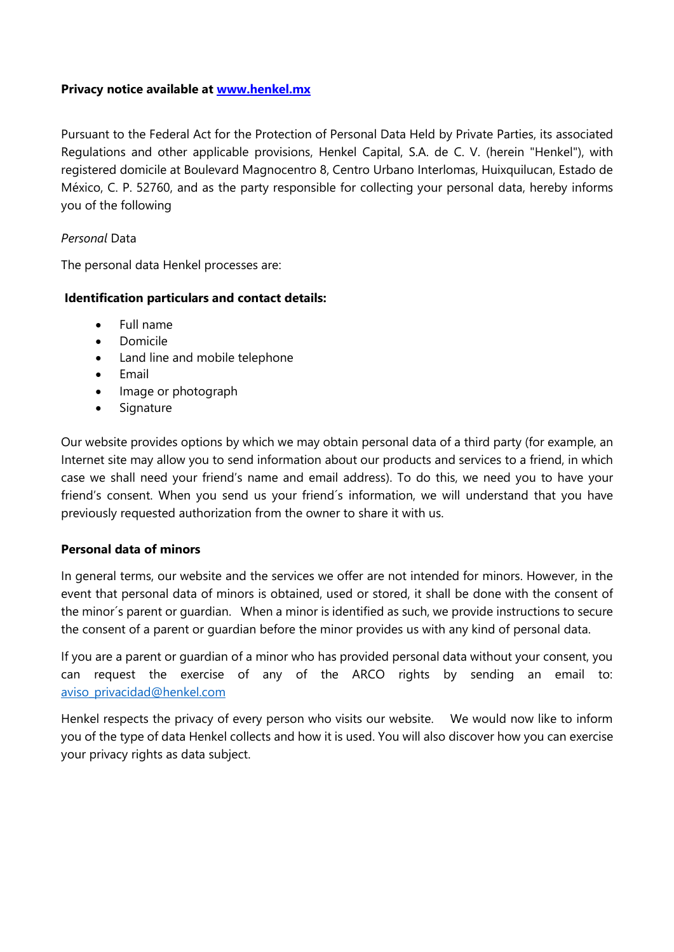### **Privacy notice available at [www.henkel.mx](http://www.henkel.mx/)**

Pursuant to the Federal Act for the Protection of Personal Data Held by Private Parties, its associated Regulations and other applicable provisions, Henkel Capital, S.A. de C. V. (herein "Henkel"), with registered domicile at Boulevard Magnocentro 8, Centro Urbano Interlomas, Huixquilucan, Estado de México, C. P. 52760, and as the party responsible for collecting your personal data, hereby informs you of the following

## *Personal* Data

The personal data Henkel processes are:

### **Identification particulars and contact details:**

- Full name
- Domicile
- Land line and mobile telephone
- Email
- Image or photograph
- Signature

Our website provides options by which we may obtain personal data of a third party (for example, an Internet site may allow you to send information about our products and services to a friend, in which case we shall need your friend's name and email address). To do this, we need you to have your friend's consent. When you send us your friend´s information, we will understand that you have previously requested authorization from the owner to share it with us.

## **Personal data of minors**

In general terms, our website and the services we offer are not intended for minors. However, in the event that personal data of minors is obtained, used or stored, it shall be done with the consent of the minor´s parent or guardian. When a minor is identified as such, we provide instructions to secure the consent of a parent or guardian before the minor provides us with any kind of personal data.

If you are a parent or guardian of a minor who has provided personal data without your consent, you can request the exercise of any of the ARCO rights by sending an email to: [aviso\\_privacidad@henkel.com](mailto:aviso_privacidad@henkel.com)

Henkel respects the privacy of every person who visits our website. We would now like to inform you of the type of data Henkel collects and how it is used. You will also discover how you can exercise your privacy rights as data subject.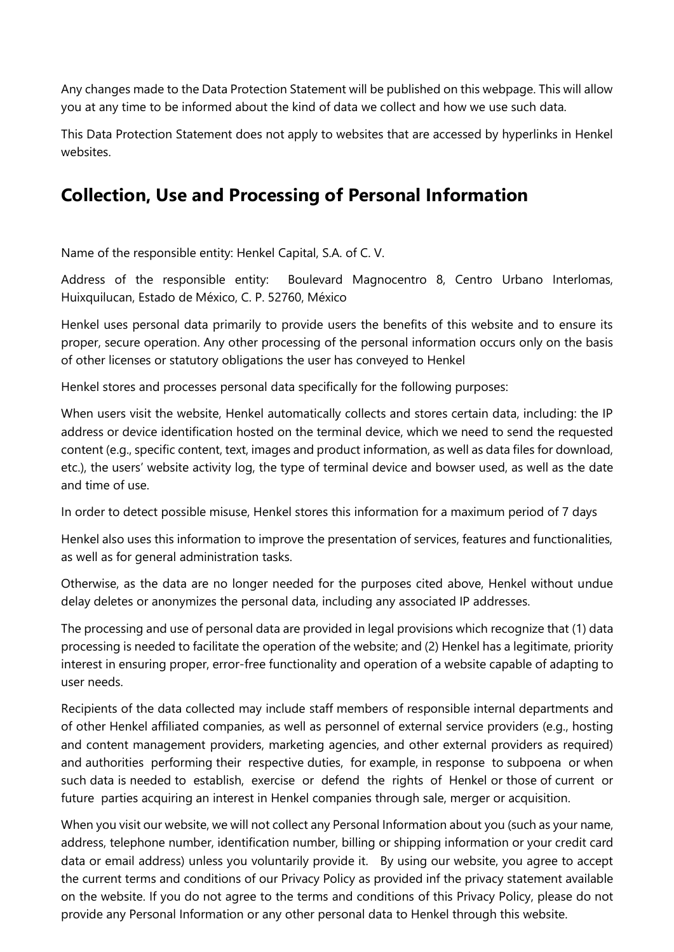Any changes made to the Data Protection Statement will be published on this webpage. This will allow you at any time to be informed about the kind of data we collect and how we use such data.

This Data Protection Statement does not apply to websites that are accessed by hyperlinks in Henkel websites.

# **Collection, Use and Processing of Personal Information**

Name of the responsible entity: Henkel Capital, S.A. of C. V.

Address of the responsible entity: Boulevard Magnocentro 8, Centro Urbano Interlomas, Huixquilucan, Estado de México, C. P. 52760, México

Henkel uses personal data primarily to provide users the benefits of this website and to ensure its proper, secure operation. Any other processing of the personal information occurs only on the basis of other licenses or statutory obligations the user has conveyed to Henkel

Henkel stores and processes personal data specifically for the following purposes:

When users visit the website, Henkel automatically collects and stores certain data, including: the IP address or device identification hosted on the terminal device, which we need to send the requested content (e.g., specific content, text, images and product information, as well as data files for download, etc.), the users' website activity log, the type of terminal device and bowser used, as well as the date and time of use.

In order to detect possible misuse, Henkel stores this information for a maximum period of 7 days

Henkel also uses this information to improve the presentation of services, features and functionalities, as well as for general administration tasks.

Otherwise, as the data are no longer needed for the purposes cited above, Henkel without undue delay deletes or anonymizes the personal data, including any associated IP addresses.

The processing and use of personal data are provided in legal provisions which recognize that (1) data processing is needed to facilitate the operation of the website; and (2) Henkel has a legitimate, priority interest in ensuring proper, error-free functionality and operation of a website capable of adapting to user needs.

Recipients of the data collected may include staff members of responsible internal departments and of other Henkel affiliated companies, as well as personnel of external service providers (e.g., hosting and content management providers, marketing agencies, and other external providers as required) and authorities performing their respective duties, for example, in response to subpoena or when such data is needed to establish, exercise or defend the rights of Henkel or those of current or future parties acquiring an interest in Henkel companies through sale, merger or acquisition.

When you visit our website, we will not collect any Personal Information about you (such as your name, address, telephone number, identification number, billing or shipping information or your credit card data or email address) unless you voluntarily provide it. By using our website, you agree to accept the current terms and conditions of our Privacy Policy as provided inf the privacy statement available on the website. If you do not agree to the terms and conditions of this Privacy Policy, please do not provide any Personal Information or any other personal data to Henkel through this website.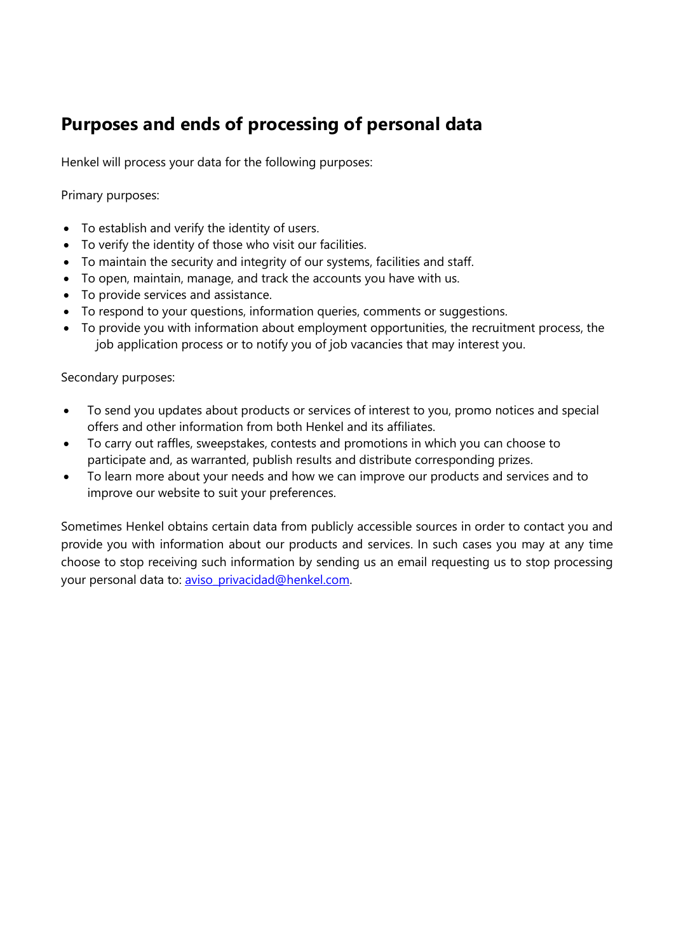# **Purposes and ends of processing of personal data**

Henkel will process your data for the following purposes:

Primary purposes:

- To establish and verify the identity of users.
- To verify the identity of those who visit our facilities.
- To maintain the security and integrity of our systems, facilities and staff.
- To open, maintain, manage, and track the accounts you have with us.
- To provide services and assistance.
- To respond to your questions, information queries, comments or suggestions.
- To provide you with information about employment opportunities, the recruitment process, the job application process or to notify you of job vacancies that may interest you.

Secondary purposes:

- To send you updates about products or services of interest to you, promo notices and special offers and other information from both Henkel and its affiliates.
- To carry out raffles, sweepstakes, contests and promotions in which you can choose to participate and, as warranted, publish results and distribute corresponding prizes.
- To learn more about your needs and how we can improve our products and services and to improve our website to suit your preferences.

Sometimes Henkel obtains certain data from publicly accessible sources in order to contact you and provide you with information about our products and services. In such cases you may at any time choose to stop receiving such information by sending us an email requesting us to stop processing your personal data to: [aviso\\_privacidad@henkel.com.](mailto:aviso_privacidad@henkel.com,)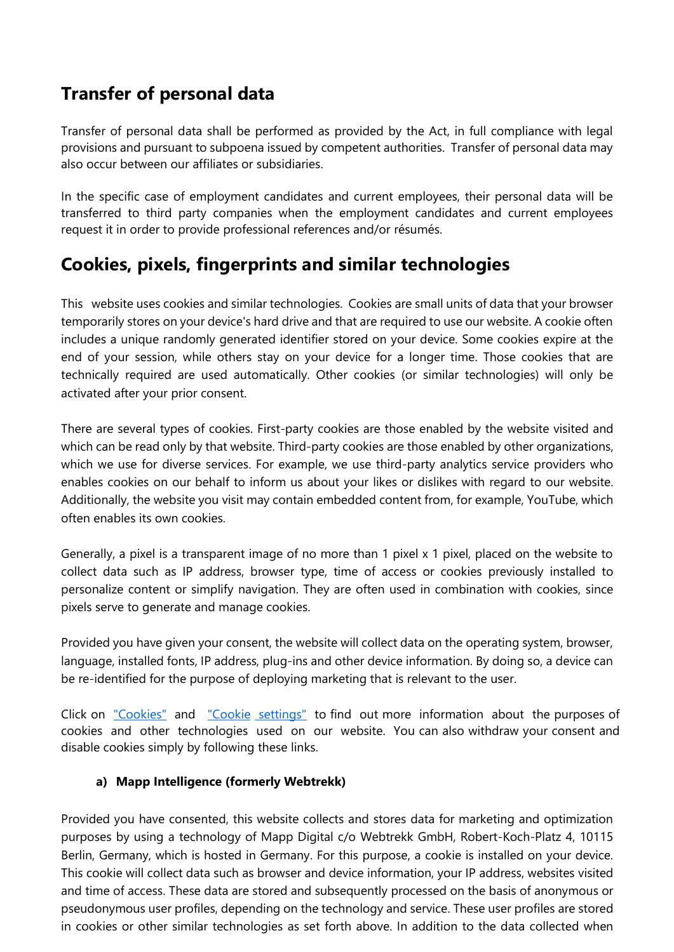# **Transfer of personal data**

Transfer of personal data shall be performed as provided by the Act, in full compliance with legal provisions and pursuant to subpoena issued by competent authorities. Transfer of personal data may also occur between our affiliates or subsidiaries.

In the specific case of employment candidates and current employees, their personal data will be transferred to third party companies when the employment candidates and current employees request it in order to provide professional references and/or résumés.

## **Cookies, pixels, fingerprints and similar technologies**

This website uses cookies and similar technologies. Cookies are small units of data that your browser temporarily stores on your device's hard drive and that are required to use our website. A cookie often includes a unique randomly generated identifier stored on your device. Some cookies expire at the end of your session, while others stay on your device for a longer time. Those cookies that are technically required are used automatically. Other cookies (or similar technologies) will only be activated after your prior consent.

There are several types of cookies. First-party cookies are those enabled by the website visited and which can be read only by that website. Third-party cookies are those enabled by other organizations, which we use for diverse services. For example, we use third-party analytics service providers who enables cookies on our behalf to inform us about your likes or dislikes with regard to our website. Additionally, the website you visit may contain embedded content from, for example, YouTube, which often enables its own cookies.

Generally, a pixel is a transparent image of no more than 1 pixel x 1 pixel, placed on the website to collect data such as IP address, browser type, time of access or cookies previously installed to personalize content or simplify navigation. They are often used in combination with cookies, since pixels serve to generate and manage cookies.

Provided you have given your consent, the website will collect data on the operating system, browser, language, installed fonts, IP address, plug-ins and other device information. By doing so, a device can be re-identified for the purpose of deploying marketing that is relevant to the user.

Click on ["Cookies"](https://www.henkel.mx/cookies) and ["Cookie](https://www.henkel.mx/cookies) [settings"](https://www.henkel.mx/cookies) to find out more information about the purposes of cookies and other technologies used on our website. You can also withdraw your consent and disable cookies simply by following these links.

## **a) Mapp Intelligence (formerly Webtrekk)**

Provided you have consented, this website collects and stores data for marketing and optimization purposes by using a technology of Mapp Digital c/o Webtrekk GmbH, Robert-Koch-Platz 4, 10115 Berlin, Germany, which is hosted in Germany. For this purpose, a cookie is installed on your device. This cookie will collect data such as browser and device information, your IP address, websites visited and time of access. These data are stored and subsequently processed on the basis of anonymous or pseudonymous user profiles, depending on the technology and service. These user profiles are stored in cookies or other similar technologies as set forth above. In addition to the data collected when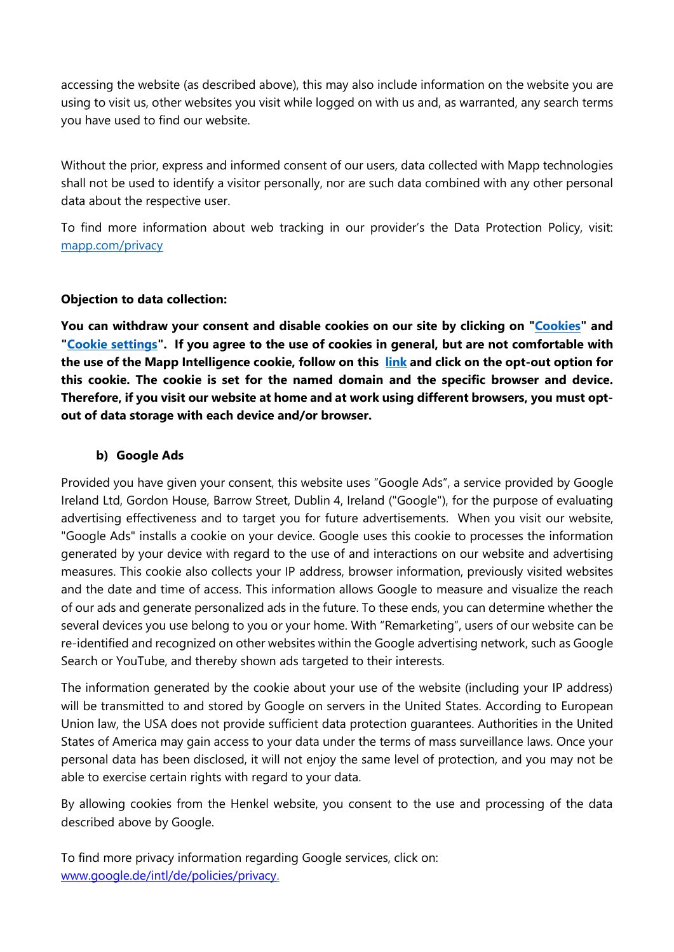accessing the website (as described above), this may also include information on the website you are using to visit us, other websites you visit while logged on with us and, as warranted, any search terms you have used to find our website.

Without the prior, express and informed consent of our users, data collected with Mapp technologies shall not be used to identify a visitor personally, nor are such data combined with any other personal data about the respective user.

To find more information about web tracking in our provider's the Data Protection Policy, visit: [mapp.com/privacy](https://mapp.com/privacy/) 

## **Objection to data collection:**

**You can withdraw your consent and disable cookies on our site by clicking on ["Cookies"](https://www.henkel.mx/cookies) and ["Cookie settings"](https://www.henkel.mx/cookies). If you agree to the use of cookies in general, but are not comfortable with the use of the Mapp Intelligence cookie, follow on this [link](https://mapp.com/opt-out-mapp/) and click on the opt-out option for this cookie. The cookie is set for the named domain and the specific browser and device. Therefore, if you visit our website at home and at work using different browsers, you must optout of data storage with each device and/or browser.**

## **b) Google Ads**

Provided you have given your consent, this website uses "Google Ads", a service provided by Google Ireland Ltd, Gordon House, Barrow Street, Dublin 4, Ireland ("Google"), for the purpose of evaluating advertising effectiveness and to target you for future advertisements. When you visit our website, "Google Ads" installs a cookie on your device. Google uses this cookie to processes the information generated by your device with regard to the use of and interactions on our website and advertising measures. This cookie also collects your IP address, browser information, previously visited websites and the date and time of access. This information allows Google to measure and visualize the reach of our ads and generate personalized ads in the future. To these ends, you can determine whether the several devices you use belong to you or your home. With "Remarketing", users of our website can be re-identified and recognized on other websites within the Google advertising network, such as Google Search or YouTube, and thereby shown ads targeted to their interests.

The information generated by the cookie about your use of the website (including your IP address) will be transmitted to and stored by Google on servers in the United States. According to European Union law, the USA does not provide sufficient data protection guarantees. Authorities in the United States of America may gain access to your data under the terms of mass surveillance laws. Once your personal data has been disclosed, it will not enjoy the same level of protection, and you may not be able to exercise certain rights with regard to your data.

By allowing cookies from the Henkel website, you consent to the use and processing of the data described above by Google.

To find more privacy information regarding Google services, click on: [www.google.de/intl/de/policies/privacy.](http://www.google.de/intl/de/policies/privacy)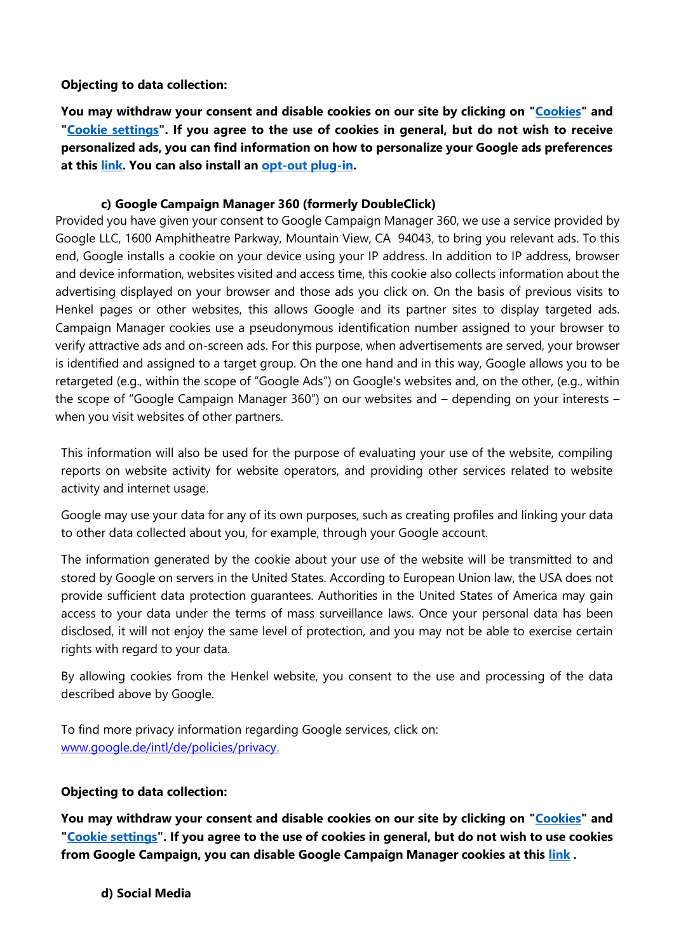## **Objecting to data collection:**

**You may withdraw your consent and disable cookies on our site by clicking on ["Cookies"](https://www.henkel.mx/cookies) and ["Cookie settings"](https://www.henkel.mx/cookies). If you agree to the use of cookies in general, but do not wish to receive personalized ads, you can find information on how to personalize your Google ads preferences at this [link.](https://support.google.com/ads/answer/2662922?hl=en) You can also install an [opt-out plug-in.](https://support.google.com/ads/answer/7395996)**

### **c) Google Campaign Manager 360 (formerly DoubleClick)**

Provided you have given your consent to Google Campaign Manager 360, we use a service provided by Google LLC, 1600 Amphitheatre Parkway, Mountain View, CA 94043, to bring you relevant ads. To this end, Google installs a cookie on your device using your IP address. In addition to IP address, browser and device information, websites visited and access time, this cookie also collects information about the advertising displayed on your browser and those ads you click on. On the basis of previous visits to Henkel pages or other websites, this allows Google and its partner sites to display targeted ads. Campaign Manager cookies use a pseudonymous identification number assigned to your browser to verify attractive ads and on-screen ads. For this purpose, when advertisements are served, your browser is identified and assigned to a target group. On the one hand and in this way, Google allows you to be retargeted (e.g., within the scope of "Google Ads") on Google's websites and, on the other, (e.g., within the scope of "Google Campaign Manager 360") on our websites and – depending on your interests – when you visit websites of other partners.

This information will also be used for the purpose of evaluating your use of the website, compiling reports on website activity for website operators, and providing other services related to website activity and internet usage.

Google may use your data for any of its own purposes, such as creating profiles and linking your data to other data collected about you, for example, through your Google account.

The information generated by the cookie about your use of the website will be transmitted to and stored by Google on servers in the United States. According to European Union law, the USA does not provide sufficient data protection guarantees. Authorities in the United States of America may gain access to your data under the terms of mass surveillance laws. Once your personal data has been disclosed, it will not enjoy the same level of protection, and you may not be able to exercise certain rights with regard to your data.

By allowing cookies from the Henkel website, you consent to the use and processing of the data described above by Google.

To find more privacy information regarding Google services, click on: [www.google.de/intl/de/policies/privacy.](http://www.google.de/intl/de/policies/privacy)

## **Objecting to data collection:**

**You may withdraw your consent and disable cookies on our site by clicking on ["Cookies"](https://www.henkel.mx/cookies) and ["Cookie settings"](https://www.henkel.mx/cookies). If you agree to the use of cookies in general, but do not wish to use cookies from Google Campaign, you can disable Google Campaign Manager cookies at this [link](https://www.google.com/settings/ads/onweb) .**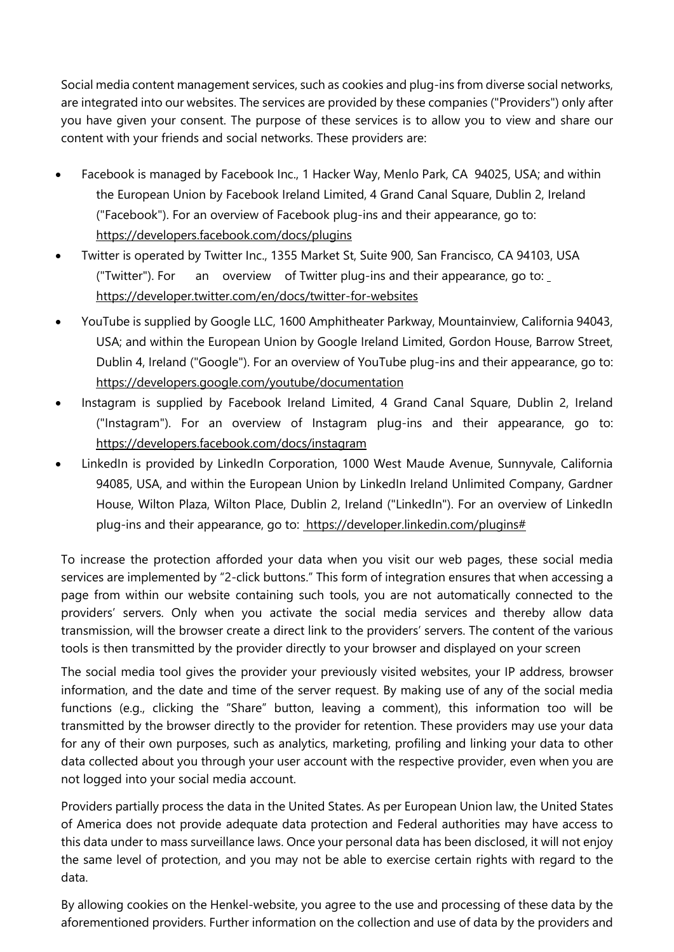Social media content management services, such as cookies and plug-ins from diverse social networks, are integrated into our websites. The services are provided by these companies ("Providers") only after you have given your consent. The purpose of these services is to allow you to view and share our content with your friends and social networks. These providers are:

- Facebook is managed by Facebook Inc., 1 Hacker Way, Menlo Park, CA 94025, USA; and within the European Union by Facebook Ireland Limited, 4 Grand Canal Square, Dublin 2, Ireland ("Facebook"). For an overview of Facebook plug-ins and their appearance, go to: <https://developers.facebook.com/docs/plugins>
- Twitter is operated by Twitter Inc., 1355 Market St, Suite 900, San Francisco, CA 94103, USA ("Twitter"). For an overview of Twitter plug-ins and their appearance, go to: <https://developer.twitter.com/en/docs/twitter-for-websites>
- YouTube is supplied by Google LLC, 1600 Amphitheater Parkway, Mountainview, California 94043, USA; and within the European Union by Google Ireland Limited, Gordon House, Barrow Street, Dublin 4, Ireland ("Google"). For an overview of YouTube plug-ins and their appearance, go to: <https://developers.google.com/youtube/documentation>
- Instagram is supplied by Facebook Ireland Limited, 4 Grand Canal Square, Dublin 2, Ireland ("Instagram"). For an overview of Instagram plug-ins and their appearance, go to: <https://developers.facebook.com/docs/instagram>
- LinkedIn is provided by LinkedIn Corporation, 1000 West Maude Avenue, Sunnyvale, California 94085, USA, and within the European Union by LinkedIn Ireland Unlimited Company, Gardner House, Wilton Plaza, Wilton Place, Dublin 2, Ireland ("LinkedIn"). For an overview of LinkedIn plug-ins and their appearance, go to: [https://developer.linkedin.com/plugins#](https://developer.linkedin.com/plugins)

To increase the protection afforded your data when you visit our web pages, these social media services are implemented by "2-click buttons." This form of integration ensures that when accessing a page from within our website containing such tools, you are not automatically connected to the providers' servers. Only when you activate the social media services and thereby allow data transmission, will the browser create a direct link to the providers' servers. The content of the various tools is then transmitted by the provider directly to your browser and displayed on your screen

The social media tool gives the provider your previously visited websites, your IP address, browser information, and the date and time of the server request. By making use of any of the social media functions (e.g., clicking the "Share" button, leaving a comment), this information too will be transmitted by the browser directly to the provider for retention. These providers may use your data for any of their own purposes, such as analytics, marketing, profiling and linking your data to other data collected about you through your user account with the respective provider, even when you are not logged into your social media account.

Providers partially process the data in the United States. As per European Union law, the United States of America does not provide adequate data protection and Federal authorities may have access to this data under to mass surveillance laws. Once your personal data has been disclosed, it will not enjoy the same level of protection, and you may not be able to exercise certain rights with regard to the data.

By allowing cookies on the Henkel-website, you agree to the use and processing of these data by the aforementioned providers. Further information on the collection and use of data by the providers and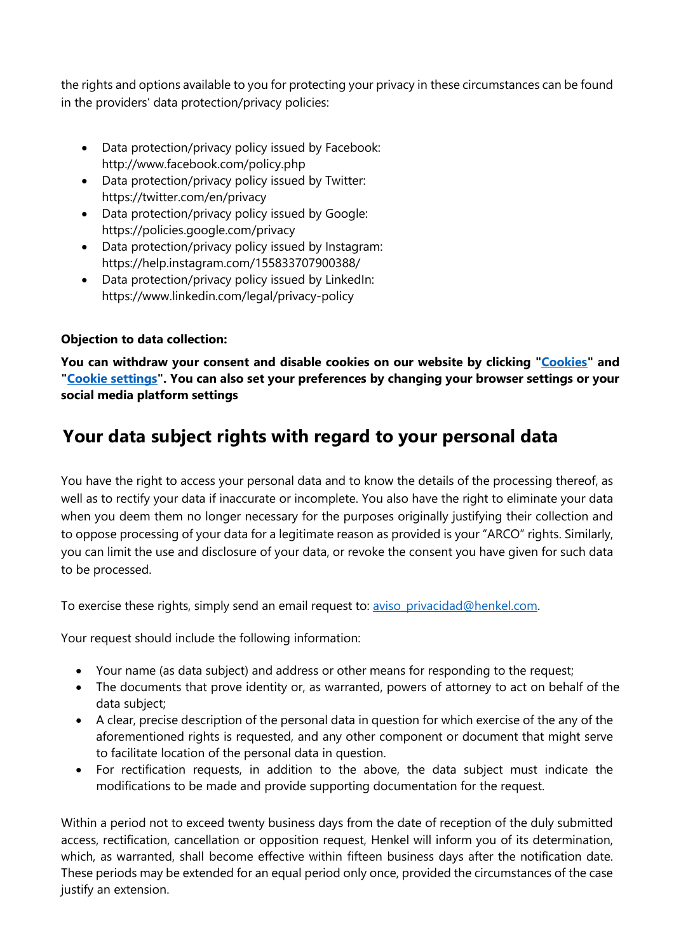the rights and options available to you for protecting your privacy in these circumstances can be found in the providers' data protection/privacy policies:

- Data protection/privacy policy issued by Facebook: http://www.facebook.com/policy.php
- Data protection/privacy policy issued by Twitter: https://twitter.com/en/privacy
- Data protection/privacy policy issued by Google: https://policies.google.com/privacy
- Data protection/privacy policy issued by Instagram: https://help.instagram.com/155833707900388/
- Data protection/privacy policy issued by LinkedIn: https://www.linkedin.com/legal/privacy-policy

## **Objection to data collection:**

**You can withdraw your consent and disable cookies on our website by clicking ["Cookies"](https://www.henkel.mx/cookies) and ["Cookie settings"](https://www.henkel.mx/cookies). You can also set your preferences by changing your browser settings or your social media platform settings**

## **Your data subject rights with regard to your personal data**

You have the right to access your personal data and to know the details of the processing thereof, as well as to rectify your data if inaccurate or incomplete. You also have the right to eliminate your data when you deem them no longer necessary for the purposes originally justifying their collection and to oppose processing of your data for a legitimate reason as provided is your "ARCO" rights. Similarly, you can limit the use and disclosure of your data, or revoke the consent you have given for such data to be processed.

To exercise these rights, simply send an email request to: [aviso\\_privacidad@henkel.com.](mailto:aviso_privacidad@henkel.com)

Your request should include the following information:

- Your name (as data subject) and address or other means for responding to the request;
- The documents that prove identity or, as warranted, powers of attorney to act on behalf of the data subject;
- A clear, precise description of the personal data in question for which exercise of the any of the aforementioned rights is requested, and any other component or document that might serve to facilitate location of the personal data in question.
- For rectification requests, in addition to the above, the data subject must indicate the modifications to be made and provide supporting documentation for the request.

Within a period not to exceed twenty business days from the date of reception of the duly submitted access, rectification, cancellation or opposition request, Henkel will inform you of its determination, which, as warranted, shall become effective within fifteen business days after the notification date. These periods may be extended for an equal period only once, provided the circumstances of the case justify an extension.